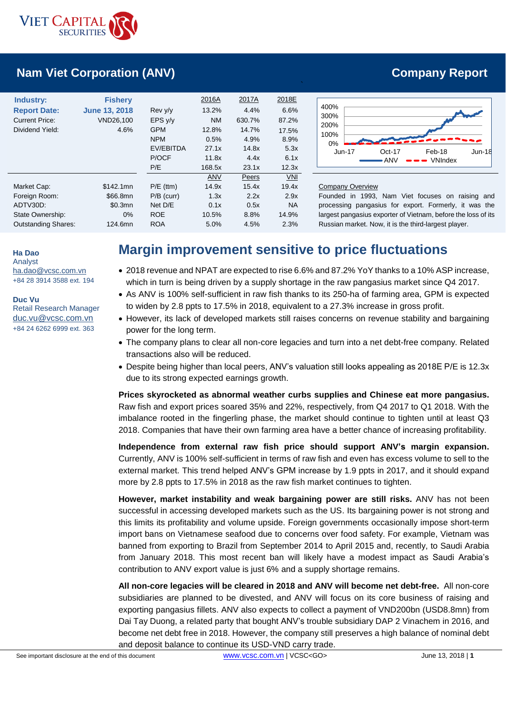

## **Nam Viet Corporation (ANV) Company Report**

| <b>Industry:</b><br><b>Report Date:</b><br><b>Current Price:</b><br>Dividend Yield:<br>Market Cap:<br>Foreign Room: | <b>Fishery</b><br><b>June 13, 2018</b><br>VND26,100<br>4.6%<br>\$142.1mn<br>\$66.8mn | Rev y/y<br>EPS y/y<br><b>GPM</b><br><b>NPM</b><br>EV/EBITDA<br>P/OCF<br>P/E<br>$P/E$ (ttm)<br>$P/B$ (curr) | 2016A<br>13.2%<br><b>NM</b><br>12.8%<br>0.5%<br>27.1x<br>11.8x<br>168.5x<br>ANV<br>14.9x<br>1.3x | 2017A<br>4.4%<br>630.7%<br>14.7%<br>4.9%<br>14.8x<br>4.4x<br>23.1x<br>Peers<br>15.4x<br>2.2x | 2018E<br>6.6%<br>87.2%<br>17.5%<br>8.9%<br>5.3x<br>6.1x<br>12.3x<br>VNI<br>19.4x<br>2.9x |
|---------------------------------------------------------------------------------------------------------------------|--------------------------------------------------------------------------------------|------------------------------------------------------------------------------------------------------------|--------------------------------------------------------------------------------------------------|----------------------------------------------------------------------------------------------|------------------------------------------------------------------------------------------|
| ADTV30D:<br>State Ownership:<br><b>Outstanding Shares:</b>                                                          | \$0.3mn<br>$0\%$<br>124.6mn                                                          | Net D/E<br><b>ROE</b><br><b>ROA</b>                                                                        | 0.1x<br>10.5%<br>5.0%                                                                            | 0.5x<br>8.8%<br>4.5%                                                                         | <b>NA</b><br>14.9%<br>2.3%                                                               |
|                                                                                                                     |                                                                                      |                                                                                                            |                                                                                                  |                                                                                              |                                                                                          |



#### Company Overview

Founded in 1993, Nam Viet focuses on raising and processing pangasius for export. Formerly, it was the largest pangasius exporter of Vietnam, before the loss of its Russian market. Now, it is the third-largest player.

**Ha Dao**

Analyst [ha.dao@vcsc.com.vn](mailto:ha.dao@vcsc.com.vn) +84 28 3914 3588 ext. 194

#### **Duc Vu**

Retail Research Manager [duc.vu@vcsc.com.vn](mailto:duc.vu@vcsc.com.vn) +84 24 6262 6999 ext. 363

## **Margin improvement sensitive to price fluctuations**

- 2018 revenue and NPAT are expected to rise 6.6% and 87.2% YoY thanks to a 10% ASP increase, which in turn is being driven by a supply shortage in the raw pangasius market since Q4 2017.
- As ANV is 100% self-sufficient in raw fish thanks to its 250-ha of farming area, GPM is expected to widen by 2.8 ppts to 17.5% in 2018, equivalent to a 27.3% increase in gross profit.
- However, its lack of developed markets still raises concerns on revenue stability and bargaining power for the long term.
- The company plans to clear all non-core legacies and turn into a net debt-free company. Related transactions also will be reduced.
- Despite being higher than local peers, ANV's valuation still looks appealing as 2018E P/E is 12.3x due to its strong expected earnings growth.

**Prices skyrocketed as abnormal weather curbs supplies and Chinese eat more pangasius.**  Raw fish and export prices soared 35% and 22%, respectively, from Q4 2017 to Q1 2018. With the imbalance rooted in the fingerling phase, the market should continue to tighten until at least Q3 2018. Companies that have their own farming area have a better chance of increasing profitability.

**Independence from external raw fish price should support ANV's margin expansion.** Currently, ANV is 100% self-sufficient in terms of raw fish and even has excess volume to sell to the external market. This trend helped ANV's GPM increase by 1.9 ppts in 2017, and it should expand more by 2.8 ppts to 17.5% in 2018 as the raw fish market continues to tighten.

**However, market instability and weak bargaining power are still risks.** ANV has not been successful in accessing developed markets such as the US. Its bargaining power is not strong and this limits its profitability and volume upside. Foreign governments occasionally impose short-term import bans on Vietnamese seafood due to concerns over food safety. For example, Vietnam was banned from exporting to Brazil from September 2014 to April 2015 and, recently, to Saudi Arabia from January 2018. This most recent ban will likely have a modest impact as Saudi Arabia's contribution to ANV export value is just 6% and a supply shortage remains.

**All non-core legacies will be cleared in 2018 and ANV will become net debt-free.** All non-core subsidiaries are planned to be divested, and ANV will focus on its core business of raising and exporting pangasius fillets. ANV also expects to collect a payment of VND200bn (USD8.8mn) from Dai Tay Duong, a related party that bought ANV's trouble subsidiary DAP 2 Vinachem in 2016, and become net debt free in 2018. However, the company still preserves a high balance of nominal debt and deposit balance to continue its USD-VND carry trade.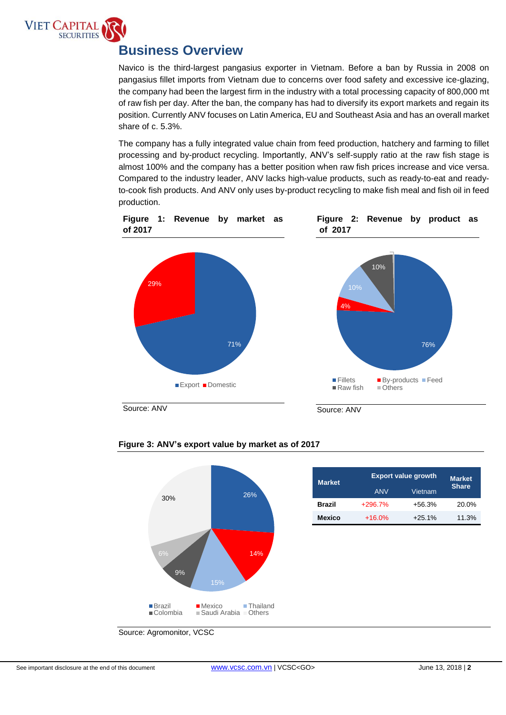

## **Business Overview**

Holder's the time largest pangasias supports in themain. Soldie a sair by reason in 2000 on Navico is the third-largest pangasius exporter in Vietnam. Before a ban by Russia in 2008 on the company had been the largest firm in the industry with a total processing capacity of 800,000 mt of raw fish per day. After the ban, the company has had to diversify its export markets and regain its position. Currently ANV focuses on Latin America, EU and Southeast Asia and has an overall market share of c. 5.3%.

The company has a fully integrated value chain from feed production, hatchery and farming to fillet processing and by-product recycling. Importantly, ANV's self-supply ratio at the raw fish stage is almost 100% and the company has a better position when raw fish prices increase and vice versa. Compared to the industry leader, ANV lacks high-value products, such as ready-to-eat and readyto-cook fish products. And ANV only uses by-product recycling to make fish meal and fish oil in feed production.





## **Figure 3: ANV's export value by market as of 2017**

| <b>Market</b> |            | <b>Export value growth</b> | <b>Market</b> |  |
|---------------|------------|----------------------------|---------------|--|
|               | <b>ANV</b> | Vietnam                    | <b>Share</b>  |  |
| Brazil        | $+296.7%$  | $+56.3%$                   | 20.0%         |  |
| Mexico        | $+16.0%$   | $+25.1%$                   | 11.3%         |  |

Source: Agromonitor, VCSC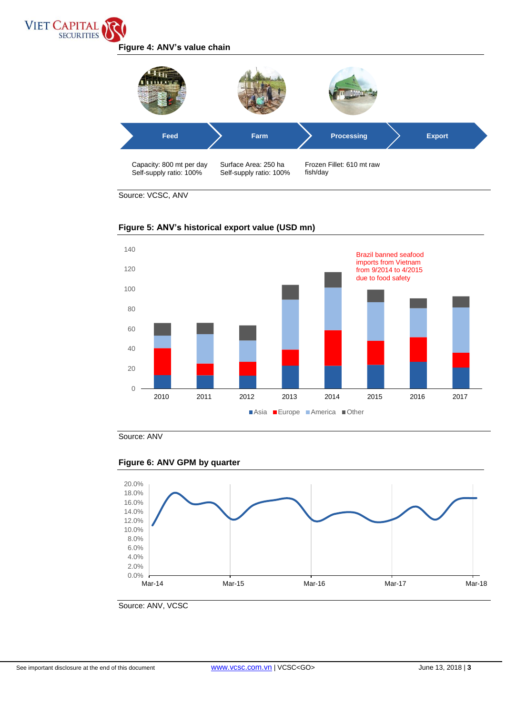

**Figure 4: ANV's value chain**



Source: VCSC, ANV



**Figure 5: ANV's historical export value (USD mn)**

Source: ANV



**Figure 6: ANV GPM by quarter**

Source: ANV, VCSC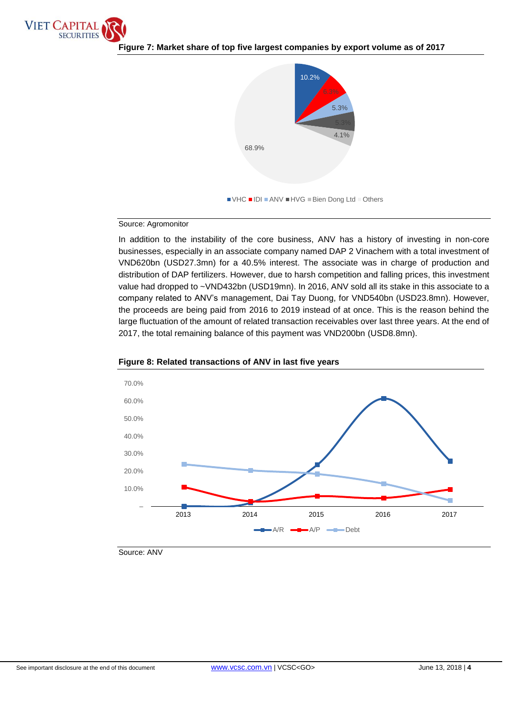



### Source: Agromonitor

In addition to the instability of the core business, ANV has a history of investing in non-core businesses, especially in an associate company named DAP 2 Vinachem with a total investment of VND620bn (USD27.3mn) for a 40.5% interest. The associate was in charge of production and distribution of DAP fertilizers. However, due to harsh competition and falling prices, this investment value had dropped to ~VND432bn (USD19mn). In 2016, ANV sold all its stake in this associate to a company related to ANV's management, Dai Tay Duong, for VND540bn (USD23.8mn). However, the proceeds are being paid from 2016 to 2019 instead of at once. This is the reason behind the large fluctuation of the amount of related transaction receivables over last three years. At the end of 2017, the total remaining balance of this payment was VND200bn (USD8.8mn).



**Figure 8: Related transactions of ANV in last five years**

Source: ANV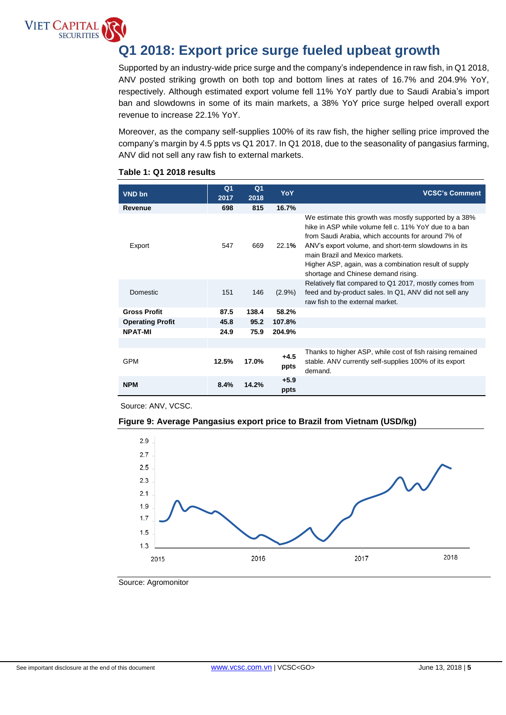

## **Q1 2018: Export price surge fueled upbeat growth**

Experience by an inductry made price darge and the company of independence in ratio list, in  $\alpha$  (Eq. et al., and 204.9% YoY, Supported by an industry-wide price surge and the company's independence in raw fish, in Q1 2018, respectively. Although estimated export volume fell 11% YoY partly due to Saudi Arabia's import ban and slowdowns in some of its main markets, a 38% YoY price surge helped overall export revenue to increase 22.1% YoY.

Moreover, as the company self-supplies 100% of its raw fish, the higher selling price improved the company's margin by 4.5 ppts vs Q1 2017. In Q1 2018, due to the seasonality of pangasius farming, ANV did not sell any raw fish to external markets.

| <b>VND bn</b>           | Q <sub>1</sub><br>2017 | Q <sub>1</sub><br>2018 | YoY            | <b>VCSC's Comment</b>                                                                                                                                                                                                                                                                                                                                           |
|-------------------------|------------------------|------------------------|----------------|-----------------------------------------------------------------------------------------------------------------------------------------------------------------------------------------------------------------------------------------------------------------------------------------------------------------------------------------------------------------|
| Revenue                 | 698                    | 815                    | 16.7%          |                                                                                                                                                                                                                                                                                                                                                                 |
| Export                  | 547                    | 669                    | 22.1%          | We estimate this growth was mostly supported by a 38%<br>hike in ASP while volume fell c. 11% YoY due to a ban<br>from Saudi Arabia, which accounts for around 7% of<br>ANV's export volume, and short-term slowdowns in its<br>main Brazil and Mexico markets.<br>Higher ASP, again, was a combination result of supply<br>shortage and Chinese demand rising. |
| <b>Domestic</b>         | 151                    | 146                    | $(2.9\%)$      | Relatively flat compared to Q1 2017, mostly comes from<br>feed and by-product sales. In Q1, ANV did not sell any<br>raw fish to the external market.                                                                                                                                                                                                            |
| <b>Gross Profit</b>     | 87.5                   | 138.4                  | 58.2%          |                                                                                                                                                                                                                                                                                                                                                                 |
| <b>Operating Profit</b> | 45.8                   | 95.2                   | 107.8%         |                                                                                                                                                                                                                                                                                                                                                                 |
| <b>NPAT-MI</b>          | 24.9                   | 75.9                   | 204.9%         |                                                                                                                                                                                                                                                                                                                                                                 |
|                         |                        |                        |                |                                                                                                                                                                                                                                                                                                                                                                 |
| GPM                     | 12.5%                  | 17.0%                  | $+4.5$<br>ppts | Thanks to higher ASP, while cost of fish raising remained<br>stable. ANV currently self-supplies 100% of its export<br>demand.                                                                                                                                                                                                                                  |
| <b>NPM</b>              | 8.4%                   | 14.2%                  | $+5.9$<br>ppts |                                                                                                                                                                                                                                                                                                                                                                 |

## **Table 1: Q1 2018 results**

Source: ANV, VCSC.





Source: Agromonitor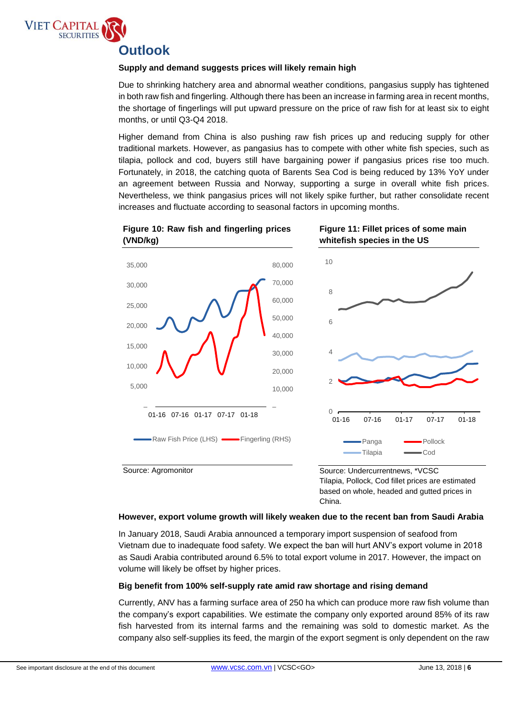

## **Outlook**

## **Supply and demand suggests prices will likely remain high**

Uuppiy and domains daggedto priced win intery remain mg.<br>Due to shrinking hatchery area and abnormal weather conditions, pangasius supply has tightened in both raw fish and fingerling. Although there has been an increase in farming area in recent months, the shortage of fingerlings will put upward pressure on the price of raw fish for at least six to eight months, or until Q3-Q4 2018.

Higher demand from China is also pushing raw fish prices up and reducing supply for other traditional markets. However, as pangasius has to compete with other white fish species, such as tilapia, pollock and cod, buyers still have bargaining power if pangasius prices rise too much. Fortunately, in 2018, the catching quota of Barents Sea Cod is being reduced by 13% YoY under an agreement between Russia and Norway, supporting a surge in overall white fish prices. Nevertheless, we think pangasius prices will not likely spike further, but rather consolidate recent increases and fluctuate according to seasonal factors in upcoming months.



**Figure 11: Fillet prices of some main whitefish species in the US**



Source: Undercurrentnews, \*VCSC Tilapia, Pollock, Cod fillet prices are estimated based on whole, headed and gutted prices in China.

## **However, export volume growth will likely weaken due to the recent ban from Saudi Arabia**

In January 2018, Saudi Arabia announced a temporary import suspension of seafood from Vietnam due to inadequate food safety. We expect the ban will hurt ANV's export volume in 2018 as Saudi Arabia contributed around 6.5% to total export volume in 2017. However, the impact on volume will likely be offset by higher prices.

## **Big benefit from 100% self-supply rate amid raw shortage and rising demand**

Currently, ANV has a farming surface area of 250 ha which can produce more raw fish volume than the company's export capabilities. We estimate the company only exported around 85% of its raw fish harvested from its internal farms and the remaining was sold to domestic market. As the company also self-supplies its feed, the margin of the export segment is only dependent on the raw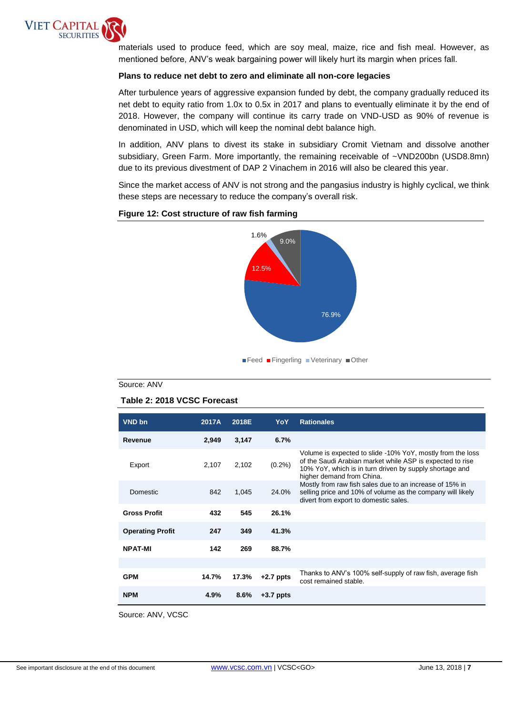

materials used to produce feed, which are soy meal, maize, rice and fish meal. However, as mentioned before, ANV's weak bargaining power will likely hurt its margin when prices fall.

## **Plans to reduce net debt to zero and eliminate all non-core legacies**

After turbulence years of aggressive expansion funded by debt, the company gradually reduced its net debt to equity ratio from 1.0x to 0.5x in 2017 and plans to eventually eliminate it by the end of 2018. However, the company will continue its carry trade on VND-USD as 90% of revenue is denominated in USD, which will keep the nominal debt balance high.

In addition, ANV plans to divest its stake in subsidiary Cromit Vietnam and dissolve another subsidiary, Green Farm. More importantly, the remaining receivable of ~VND200bn (USD8.8mn) due to its previous divestment of DAP 2 Vinachem in 2016 will also be cleared this year.

Since the market access of ANV is not strong and the pangasius industry is highly cyclical, we think these steps are necessary to reduce the company's overall risk.



## **Figure 12: Cost structure of raw fish farming**

 $\blacksquare$  Feed  $\blacksquare$  Fingerling  $\blacksquare$  Veterinary  $\blacksquare$  Other

## Source: ANV

### **Table 2: 2018 VCSC Forecast**

| VND bn                  | 2017A | 2018E | YoY.        | <b>Rationales</b>                                                                                                                                                                                               |
|-------------------------|-------|-------|-------------|-----------------------------------------------------------------------------------------------------------------------------------------------------------------------------------------------------------------|
| Revenue                 | 2,949 | 3,147 | 6.7%        |                                                                                                                                                                                                                 |
| Export                  | 2,107 | 2,102 | $(0.2\%)$   | Volume is expected to slide -10% YoY, mostly from the loss<br>of the Saudi Arabian market while ASP is expected to rise<br>10% YoY, which is in turn driven by supply shortage and<br>higher demand from China. |
| Domestic                | 842   | 1,045 | 24.0%       | Mostly from raw fish sales due to an increase of 15% in<br>selling price and 10% of volume as the company will likely<br>divert from export to domestic sales.                                                  |
| <b>Gross Profit</b>     | 432   | 545   | 26.1%       |                                                                                                                                                                                                                 |
| <b>Operating Profit</b> | 247   | 349   | 41.3%       |                                                                                                                                                                                                                 |
| <b>NPAT-MI</b>          | 142   | 269   | 88.7%       |                                                                                                                                                                                                                 |
|                         |       |       |             |                                                                                                                                                                                                                 |
| <b>GPM</b>              | 14.7% | 17.3% | $+2.7$ ppts | Thanks to ANV's 100% self-supply of raw fish, average fish<br>cost remained stable.                                                                                                                             |
| <b>NPM</b>              | 4.9%  | 8.6%  | $+3.7$ ppts |                                                                                                                                                                                                                 |

Source: ANV, VCSC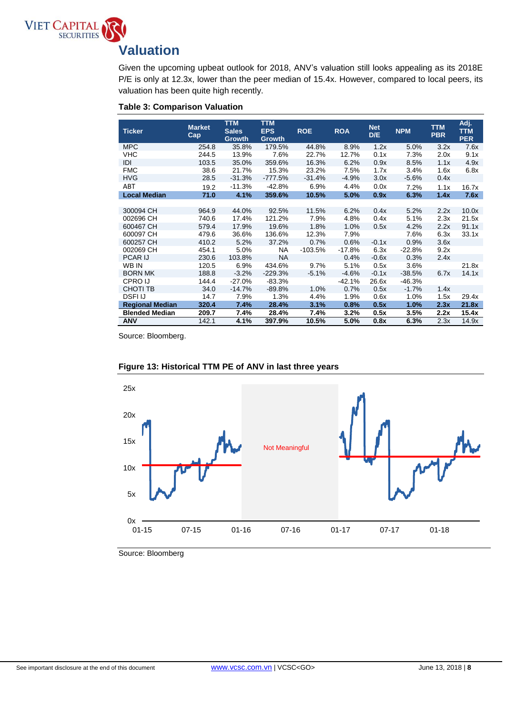

Dreft and appointing appear called for Londy Mark of radiation call force appealing as the Londy P/E is only at 12.3x, lower than the peer median of 15.4x. However, compared to local peers, its Given the upcoming upbeat outlook for 2018, ANV's valuation still looks appealing as its 2018E valuation has been quite high recently.

## **Table 3: Comparison Valuation**

| <b>Ticker</b>          | <b>Market</b><br>Cap | <b>TTM</b><br><b>Sales</b><br><b>Growth</b> | <b>TTM</b><br><b>EPS</b><br><b>Growth</b> | <b>ROE</b> | <b>ROA</b> | <b>Net</b><br>D/E | <b>NPM</b> | <b>TTM</b><br><b>PBR</b> | Adj.<br><b>TTM</b><br><b>PER</b> |
|------------------------|----------------------|---------------------------------------------|-------------------------------------------|------------|------------|-------------------|------------|--------------------------|----------------------------------|
| <b>MPC</b>             | 254.8                | 35.8%                                       | 179.5%                                    | 44.8%      | 8.9%       | 1.2x              | 5.0%       | 3.2x                     | 7.6x                             |
| <b>VHC</b>             | 244.5                | 13.9%                                       | 7.6%                                      | 22.7%      | 12.7%      | 0.1x              | 7.3%       | 2.0x                     | 9.1x                             |
| IDI                    | 103.5                | 35.0%                                       | 359.6%                                    | 16.3%      | 6.2%       | 0.9x              | 8.5%       | 1.1x                     | 4.9x                             |
| <b>FMC</b>             | 38.6                 | 21.7%                                       | 15.3%                                     | 23.2%      | 7.5%       | 1.7x              | 3.4%       | 1.6x                     | 6.8x                             |
| <b>HVG</b>             | 28.5                 | $-31.3%$                                    | $-777.5%$                                 | $-31.4%$   | $-4.9%$    | 3.0x              | $-5.6%$    | 0.4x                     |                                  |
| ABT                    | 19.2                 | $-11.3%$                                    | $-42.8%$                                  | 6.9%       | 4.4%       | 0.0x              | 7.2%       | 1.1x                     | 16.7x                            |
| <b>Local Median</b>    | 71.0                 | 4.1%                                        | 359.6%                                    | 10.5%      | 5.0%       | 0.9x              | 6.3%       | 1.4x                     | 7.6x                             |
|                        |                      |                                             |                                           |            |            |                   |            |                          |                                  |
| 300094 CH              | 964.9                | 44.0%                                       | 92.5%                                     | 11.5%      | 6.2%       | 0.4x              | 5.2%       | 2.2x                     | 10.0x                            |
| 002696 CH              | 740.6                | 17.4%                                       | 121.2%                                    | 7.9%       | 4.8%       | 0.4x              | 5.1%       | 2.3x                     | 21.5x                            |
| 600467 CH              | 579.4                | 17.9%                                       | 19.6%                                     | 1.8%       | 1.0%       | 0.5x              | 4.2%       | 2.2x                     | 91.1x                            |
| 600097 CH              | 479.6                | 36.6%                                       | 136.6%                                    | 12.3%      | 7.9%       |                   | 7.6%       | 6.3x                     | 33.1x                            |
| 600257 CH              | 410.2                | 5.2%                                        | 37.2%                                     | 0.7%       | 0.6%       | $-0.1x$           | 0.9%       | 3.6x                     |                                  |
| 002069 CH              | 454.1                | 5.0%                                        | <b>NA</b>                                 | $-103.5%$  | $-17.8%$   | 6.3x              | $-22.8%$   | 9.2x                     |                                  |
| <b>PCARIJ</b>          | 230.6                | 103.8%                                      | <b>NA</b>                                 |            | 0.4%       | $-0.6x$           | 0.3%       | 2.4x                     |                                  |
| WB IN                  | 120.5                | 6.9%                                        | 434.6%                                    | 9.7%       | 5.1%       | 0.5x              | 3.6%       |                          | 21.8x                            |
| <b>BORN MK</b>         | 188.8                | $-3.2%$                                     | $-229.3%$                                 | $-5.1%$    | $-4.6%$    | $-0.1x$           | $-38.5%$   | 6.7x                     | 14.1x                            |
| CPRO IJ                | 144.4                | $-27.0%$                                    | $-83.3%$                                  |            | $-42.1%$   | 26.6x             | $-46.3%$   |                          |                                  |
| <b>CHOTI TB</b>        | 34.0                 | $-14.7%$                                    | $-89.8%$                                  | 1.0%       | 0.7%       | 0.5x              | $-1.7%$    | 1.4x                     |                                  |
| <b>DSFI IJ</b>         | 14.7                 | 7.9%                                        | 1.3%                                      | 4.4%       | 1.9%       | 0.6x              | 1.0%       | 1.5x                     | 29.4x                            |
| <b>Regional Median</b> | 320.4                | 7.4%                                        | 28.4%                                     | 3.1%       | 0.8%       | 0.5x              | 1.0%       | 2.3x                     | 21.8x                            |
| <b>Blended Median</b>  | 209.7                | 7.4%                                        | 28.4%                                     | 7.4%       | 3.2%       | 0.5x              | 3.5%       | 2.2x                     | 15.4x                            |
| <b>ANV</b>             | 142.1                | 4.1%                                        | 397.9%                                    | 10.5%      | 5.0%       | 0.8x              | 6.3%       | 2.3x                     | 14.9x                            |

Source: Bloomberg.



## **Figure 13: Historical TTM PE of ANV in last three years**

Source: Bloomberg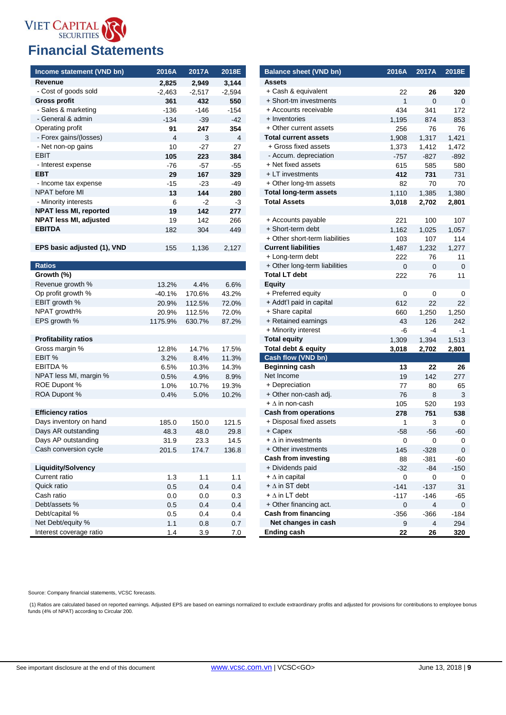

## **Financial Statements**

| Income statement (VND bn)     | 2016A          | 2017A    | 2018E          | <b>Balance sheet (VND bn)</b>  | 2016A        | 2017A          | 2018E       |
|-------------------------------|----------------|----------|----------------|--------------------------------|--------------|----------------|-------------|
| Revenue                       | 2,825          | 2,949    | 3,144          | <b>Assets</b>                  |              |                |             |
| - Cost of goods sold          | $-2,463$       | $-2,517$ | $-2,594$       | + Cash & equivalent            | 22           | 26             | 320         |
| <b>Gross profit</b>           | 361            | 432      | 550            | + Short-tm investments         | $\mathbf{1}$ | $\mathbf{0}$   | $\mathbf 0$ |
| - Sales & marketing           | $-136$         | $-146$   | $-154$         | + Accounts receivable          | 434          | 341            | 172         |
| - General & admin             | $-134$         | $-39$    | $-42$          | + Inventories                  | 1,195        | 874            | 853         |
| Operating profit              | 91             | 247      | 354            | + Other current assets         | 256          | 76             | 76          |
| - Forex gains/(losses)        | $\overline{4}$ | 3        | $\overline{4}$ | <b>Total current assets</b>    | 1,908        | 1,317          | 1,421       |
| - Net non-op gains            | 10             | $-27$    | 27             | + Gross fixed assets           | 1,373        | 1,412          | 1,472       |
| EBIT                          | 105            | 223      | 384            | - Accum. depreciation          | $-757$       | $-827$         | $-892$      |
| - Interest expense            | -76            | $-57$    | $-55$          | + Net fixed assets             | 615          | 585            | 580         |
| EBT                           | 29             | 167      | 329            | + LT investments               | 412          | 731            | 731         |
| - Income tax expense          | $-15$          | $-23$    | $-49$          | + Other long-tm assets         | 82           | 70             | 70          |
| <b>NPAT before MI</b>         | 13             | 144      | 280            | <b>Total long-term assets</b>  | 1,110        | 1,385          | 1,380       |
| - Minority interests          | 6              | $-2$     | $-3$           | <b>Total Assets</b>            | 3,018        | 2,702          | 2,801       |
| <b>NPAT less MI, reported</b> | 19             | 142      | 277            |                                |              |                |             |
| <b>NPAT less MI, adjusted</b> | 19             | 142      | 266            | + Accounts payable             | 221          | 100            | 107         |
| <b>EBITDA</b>                 | 182            | 304      | 449            | + Short-term debt              | 1,162        | 1,025          | 1,057       |
|                               |                |          |                | + Other short-term liabilities | 103          | 107            | 114         |
| EPS basic adjusted (1), VND   | 155            | 1,136    | 2,127          | <b>Current liabilities</b>     | 1,487        | 1,232          | 1,277       |
|                               |                |          |                | + Long-term debt               | 222          | 76             | 11          |
| <b>Ratios</b>                 |                |          |                | + Other long-term liabilities  | 0            | $\mathbf 0$    | O           |
| Growth (%)                    |                |          |                | <b>Total LT debt</b>           | 222          | 76             | 11          |
| Revenue growth %              | 13.2%          | 4.4%     | 6.6%           | <b>Equity</b>                  |              |                |             |
| Op profit growth %            | $-40.1%$       | 170.6%   | 43.2%          | + Preferred equity             | 0            | $\pmb{0}$      | C           |
| EBIT growth %                 | 20.9%          | 112.5%   | 72.0%          | + Addt'l paid in capital       | 612          | 22             | 22          |
| NPAT growth%                  | 20.9%          | 112.5%   | 72.0%          | + Share capital                | 660          | 1,250          | 1,250       |
| EPS growth %                  | 1175.9%        | 630.7%   | 87.2%          | + Retained earnings            | 43           | 126            | 242         |
|                               |                |          |                | + Minority interest            | $-6$         | $-4$           | $-1$        |
| <b>Profitability ratios</b>   |                |          |                | <b>Total equity</b>            | 1,309        | 1,394          | 1,513       |
| Gross margin %                | 12.8%          | 14.7%    | 17.5%          | Total debt & equity            | 3,018        | 2,702          | 2,801       |
| EBIT %                        | 3.2%           | 8.4%     | 11.3%          | Cash flow (VND bn)             |              |                |             |
| EBITDA %                      | 6.5%           | 10.3%    | 14.3%          | <b>Beginning cash</b>          | 13           | 22             | 26          |
| NPAT less MI, margin %        | 0.5%           | 4.9%     | 8.9%           | Net Income                     | 19           | 142            | 277         |
| ROE Dupont %                  | 1.0%           | 10.7%    | 19.3%          | + Depreciation                 | 77           | 80             | 65          |
| ROA Dupont %                  | 0.4%           | 5.0%     | 10.2%          | + Other non-cash adj.          | 76           | 8              | 3           |
|                               |                |          |                | $+ \Delta$ in non-cash         | 105          | 520            | 193         |
| <b>Efficiency ratios</b>      |                |          |                | <b>Cash from operations</b>    | 278          | 751            | 538         |
| Days inventory on hand        | 185.0          | 150.0    | 121.5          | + Disposal fixed assets        | 1            | 3              | O           |
| Days AR outstanding           | 48.3           | 48.0     | 29.8           | + Capex                        | $-58$        | $-56$          | $-60$       |
| Days AP outstanding           | 31.9           | 23.3     | 14.5           | $+$ $\Delta$ in investments    | 0            | 0              | C           |
| Cash conversion cycle         | 201.5          | 174.7    | 136.8          | + Other investments            | 145          | $-328$         | C           |
|                               |                |          |                | <b>Cash from investing</b>     | 88           | $-381$         | $-60$       |
| <b>Liquidity/Solvency</b>     |                |          |                | + Dividends paid               | $-32$        | $-84$          | $-150$      |
| Current ratio                 | 1.3            | 1.1      | 1.1            | $+ \Delta$ in capital          | 0            | 0              | O           |
| Quick ratio                   | 0.5            | 0.4      | 0.4            | $+ \Delta$ in ST debt          | $-141$       | $-137$         | 31          |
| Cash ratio                    | 0.0            | 0.0      | 0.3            | $+ \Delta$ in LT debt          | $-117$       | $-146$         | $-65$       |
| Debt/assets %                 | 0.5            | 0.4      | 0.4            | + Other financing act.         | $\pmb{0}$    | $\overline{4}$ | O           |
| Debt/capital %                | 0.5            | 0.4      | 0.4            | Cash from financing            | $-356$       | $-366$         | $-184$      |
| Net Debt/equity %             | 1.1            | 0.8      | 0.7            | Net changes in cash            | 9            | $\overline{4}$ | 294         |
| Interest coverage ratio       | 1.4            | 3.9      | 7.0            | <b>Ending cash</b>             | 22           | 26             | 320         |

| Assets<br>+ Cash & equivalent<br>22<br>26<br>320<br>+ Short-tm investments<br>1<br>0<br>0<br>+ Accounts receivable<br>434<br>341<br>172<br>+ Inventories<br>1,195<br>874<br>853<br>+ Other current assets<br>256<br>76<br>76<br><b>Total current assets</b><br>1,908<br>1,317<br>1,421<br>+ Gross fixed assets<br>1,373<br>1,412<br>1,472<br>- Accum. depreciation<br>$-757$<br>$-892$<br>-827<br>+ Net fixed assets<br>615<br>585<br>580<br>+ LT investments<br>412<br>731<br>731<br>+ Other long-tm assets<br>82<br>70<br>70<br><b>Total long-term assets</b><br>1,380<br>1,110<br>1,385<br><b>Total Assets</b><br>3,018<br>2,702<br>2,801<br>+ Accounts payable<br>221<br>100<br>107<br>+ Short-term debt<br>1,162<br>1,025<br>1,057<br>+ Other short-term liabilities<br>103<br>107<br>114<br><b>Current liabilities</b><br>1,487<br>1,232<br>1,277<br>+ Long-term debt<br>222<br>76<br>11<br>+ Other long-term liabilities<br>0<br>0<br>0<br><b>Total LT debt</b><br>222<br>76<br>11<br>Equity<br>+ Preferred equity<br>0<br>0<br>0<br>+ Addt'l paid in capital<br>612<br>22<br>22<br>+ Share capital<br>660<br>1,250<br>1,250<br>+ Retained earnings<br>43<br>126<br>242<br>+ Minority interest<br>$-1$<br>-6<br>-4<br>Total equity<br>1,309<br>1,394<br>1,513<br>Total debt & equity<br>3,018<br>2,702<br>2,801<br>Cash flow (VND bn)<br><b>Beginning cash</b><br>13<br>22<br>26<br>Net Income<br>19<br>142<br>277<br>+ Depreciation<br>77<br>80<br>65<br>+ Other non-cash adj.<br>76<br>8<br>3<br>$+ \Delta$ in non-cash<br>105<br>520<br>193<br><b>Cash from operations</b><br>751<br>278<br>538<br>+ Disposal fixed assets<br>1<br>3<br>0<br>+ Capex<br>$-58$<br>$-56$<br>$-60$<br>$+ \wedge$ in investments<br>0<br>0<br>0<br>+ Other investments<br>145<br>$-328$<br>0<br><b>Cash from investing</b><br>88<br>$-381$<br>$-60$<br>+ Dividends paid<br>$-32$<br>$-84$<br>$-150$<br>$+ \Delta$ in capital<br>0<br>0<br>0<br>$+ \Delta$ in ST debt<br>$-141$<br>$-137$<br>31<br>$+ \wedge$ in LT debt<br>$-117$<br>$-146$<br>$-65$<br>+ Other financing act.<br>4<br>0<br>0<br><b>Cash from financing</b><br>$-356$<br>$-184$<br>$-366$<br>Net changes in cash<br>$\overline{4}$<br>294<br>9 | <b>Balance sheet (VND bn)</b> | 2016A | 2017A | 2018E |
|------------------------------------------------------------------------------------------------------------------------------------------------------------------------------------------------------------------------------------------------------------------------------------------------------------------------------------------------------------------------------------------------------------------------------------------------------------------------------------------------------------------------------------------------------------------------------------------------------------------------------------------------------------------------------------------------------------------------------------------------------------------------------------------------------------------------------------------------------------------------------------------------------------------------------------------------------------------------------------------------------------------------------------------------------------------------------------------------------------------------------------------------------------------------------------------------------------------------------------------------------------------------------------------------------------------------------------------------------------------------------------------------------------------------------------------------------------------------------------------------------------------------------------------------------------------------------------------------------------------------------------------------------------------------------------------------------------------------------------------------------------------------------------------------------------------------------------------------------------------------------------------------------------------------------------------------------------------------------------------------------------------------------------------------------------------------------------------------------------------------------------------------------------------------------------------------------|-------------------------------|-------|-------|-------|
|                                                                                                                                                                                                                                                                                                                                                                                                                                                                                                                                                                                                                                                                                                                                                                                                                                                                                                                                                                                                                                                                                                                                                                                                                                                                                                                                                                                                                                                                                                                                                                                                                                                                                                                                                                                                                                                                                                                                                                                                                                                                                                                                                                                                      |                               |       |       |       |
|                                                                                                                                                                                                                                                                                                                                                                                                                                                                                                                                                                                                                                                                                                                                                                                                                                                                                                                                                                                                                                                                                                                                                                                                                                                                                                                                                                                                                                                                                                                                                                                                                                                                                                                                                                                                                                                                                                                                                                                                                                                                                                                                                                                                      |                               |       |       |       |
|                                                                                                                                                                                                                                                                                                                                                                                                                                                                                                                                                                                                                                                                                                                                                                                                                                                                                                                                                                                                                                                                                                                                                                                                                                                                                                                                                                                                                                                                                                                                                                                                                                                                                                                                                                                                                                                                                                                                                                                                                                                                                                                                                                                                      |                               |       |       |       |
|                                                                                                                                                                                                                                                                                                                                                                                                                                                                                                                                                                                                                                                                                                                                                                                                                                                                                                                                                                                                                                                                                                                                                                                                                                                                                                                                                                                                                                                                                                                                                                                                                                                                                                                                                                                                                                                                                                                                                                                                                                                                                                                                                                                                      |                               |       |       |       |
|                                                                                                                                                                                                                                                                                                                                                                                                                                                                                                                                                                                                                                                                                                                                                                                                                                                                                                                                                                                                                                                                                                                                                                                                                                                                                                                                                                                                                                                                                                                                                                                                                                                                                                                                                                                                                                                                                                                                                                                                                                                                                                                                                                                                      |                               |       |       |       |
|                                                                                                                                                                                                                                                                                                                                                                                                                                                                                                                                                                                                                                                                                                                                                                                                                                                                                                                                                                                                                                                                                                                                                                                                                                                                                                                                                                                                                                                                                                                                                                                                                                                                                                                                                                                                                                                                                                                                                                                                                                                                                                                                                                                                      |                               |       |       |       |
|                                                                                                                                                                                                                                                                                                                                                                                                                                                                                                                                                                                                                                                                                                                                                                                                                                                                                                                                                                                                                                                                                                                                                                                                                                                                                                                                                                                                                                                                                                                                                                                                                                                                                                                                                                                                                                                                                                                                                                                                                                                                                                                                                                                                      |                               |       |       |       |
|                                                                                                                                                                                                                                                                                                                                                                                                                                                                                                                                                                                                                                                                                                                                                                                                                                                                                                                                                                                                                                                                                                                                                                                                                                                                                                                                                                                                                                                                                                                                                                                                                                                                                                                                                                                                                                                                                                                                                                                                                                                                                                                                                                                                      |                               |       |       |       |
|                                                                                                                                                                                                                                                                                                                                                                                                                                                                                                                                                                                                                                                                                                                                                                                                                                                                                                                                                                                                                                                                                                                                                                                                                                                                                                                                                                                                                                                                                                                                                                                                                                                                                                                                                                                                                                                                                                                                                                                                                                                                                                                                                                                                      |                               |       |       |       |
|                                                                                                                                                                                                                                                                                                                                                                                                                                                                                                                                                                                                                                                                                                                                                                                                                                                                                                                                                                                                                                                                                                                                                                                                                                                                                                                                                                                                                                                                                                                                                                                                                                                                                                                                                                                                                                                                                                                                                                                                                                                                                                                                                                                                      |                               |       |       |       |
|                                                                                                                                                                                                                                                                                                                                                                                                                                                                                                                                                                                                                                                                                                                                                                                                                                                                                                                                                                                                                                                                                                                                                                                                                                                                                                                                                                                                                                                                                                                                                                                                                                                                                                                                                                                                                                                                                                                                                                                                                                                                                                                                                                                                      |                               |       |       |       |
|                                                                                                                                                                                                                                                                                                                                                                                                                                                                                                                                                                                                                                                                                                                                                                                                                                                                                                                                                                                                                                                                                                                                                                                                                                                                                                                                                                                                                                                                                                                                                                                                                                                                                                                                                                                                                                                                                                                                                                                                                                                                                                                                                                                                      |                               |       |       |       |
|                                                                                                                                                                                                                                                                                                                                                                                                                                                                                                                                                                                                                                                                                                                                                                                                                                                                                                                                                                                                                                                                                                                                                                                                                                                                                                                                                                                                                                                                                                                                                                                                                                                                                                                                                                                                                                                                                                                                                                                                                                                                                                                                                                                                      |                               |       |       |       |
|                                                                                                                                                                                                                                                                                                                                                                                                                                                                                                                                                                                                                                                                                                                                                                                                                                                                                                                                                                                                                                                                                                                                                                                                                                                                                                                                                                                                                                                                                                                                                                                                                                                                                                                                                                                                                                                                                                                                                                                                                                                                                                                                                                                                      |                               |       |       |       |
|                                                                                                                                                                                                                                                                                                                                                                                                                                                                                                                                                                                                                                                                                                                                                                                                                                                                                                                                                                                                                                                                                                                                                                                                                                                                                                                                                                                                                                                                                                                                                                                                                                                                                                                                                                                                                                                                                                                                                                                                                                                                                                                                                                                                      |                               |       |       |       |
|                                                                                                                                                                                                                                                                                                                                                                                                                                                                                                                                                                                                                                                                                                                                                                                                                                                                                                                                                                                                                                                                                                                                                                                                                                                                                                                                                                                                                                                                                                                                                                                                                                                                                                                                                                                                                                                                                                                                                                                                                                                                                                                                                                                                      |                               |       |       |       |
|                                                                                                                                                                                                                                                                                                                                                                                                                                                                                                                                                                                                                                                                                                                                                                                                                                                                                                                                                                                                                                                                                                                                                                                                                                                                                                                                                                                                                                                                                                                                                                                                                                                                                                                                                                                                                                                                                                                                                                                                                                                                                                                                                                                                      |                               |       |       |       |
|                                                                                                                                                                                                                                                                                                                                                                                                                                                                                                                                                                                                                                                                                                                                                                                                                                                                                                                                                                                                                                                                                                                                                                                                                                                                                                                                                                                                                                                                                                                                                                                                                                                                                                                                                                                                                                                                                                                                                                                                                                                                                                                                                                                                      |                               |       |       |       |
|                                                                                                                                                                                                                                                                                                                                                                                                                                                                                                                                                                                                                                                                                                                                                                                                                                                                                                                                                                                                                                                                                                                                                                                                                                                                                                                                                                                                                                                                                                                                                                                                                                                                                                                                                                                                                                                                                                                                                                                                                                                                                                                                                                                                      |                               |       |       |       |
|                                                                                                                                                                                                                                                                                                                                                                                                                                                                                                                                                                                                                                                                                                                                                                                                                                                                                                                                                                                                                                                                                                                                                                                                                                                                                                                                                                                                                                                                                                                                                                                                                                                                                                                                                                                                                                                                                                                                                                                                                                                                                                                                                                                                      |                               |       |       |       |
|                                                                                                                                                                                                                                                                                                                                                                                                                                                                                                                                                                                                                                                                                                                                                                                                                                                                                                                                                                                                                                                                                                                                                                                                                                                                                                                                                                                                                                                                                                                                                                                                                                                                                                                                                                                                                                                                                                                                                                                                                                                                                                                                                                                                      |                               |       |       |       |
|                                                                                                                                                                                                                                                                                                                                                                                                                                                                                                                                                                                                                                                                                                                                                                                                                                                                                                                                                                                                                                                                                                                                                                                                                                                                                                                                                                                                                                                                                                                                                                                                                                                                                                                                                                                                                                                                                                                                                                                                                                                                                                                                                                                                      |                               |       |       |       |
|                                                                                                                                                                                                                                                                                                                                                                                                                                                                                                                                                                                                                                                                                                                                                                                                                                                                                                                                                                                                                                                                                                                                                                                                                                                                                                                                                                                                                                                                                                                                                                                                                                                                                                                                                                                                                                                                                                                                                                                                                                                                                                                                                                                                      |                               |       |       |       |
|                                                                                                                                                                                                                                                                                                                                                                                                                                                                                                                                                                                                                                                                                                                                                                                                                                                                                                                                                                                                                                                                                                                                                                                                                                                                                                                                                                                                                                                                                                                                                                                                                                                                                                                                                                                                                                                                                                                                                                                                                                                                                                                                                                                                      |                               |       |       |       |
|                                                                                                                                                                                                                                                                                                                                                                                                                                                                                                                                                                                                                                                                                                                                                                                                                                                                                                                                                                                                                                                                                                                                                                                                                                                                                                                                                                                                                                                                                                                                                                                                                                                                                                                                                                                                                                                                                                                                                                                                                                                                                                                                                                                                      |                               |       |       |       |
|                                                                                                                                                                                                                                                                                                                                                                                                                                                                                                                                                                                                                                                                                                                                                                                                                                                                                                                                                                                                                                                                                                                                                                                                                                                                                                                                                                                                                                                                                                                                                                                                                                                                                                                                                                                                                                                                                                                                                                                                                                                                                                                                                                                                      |                               |       |       |       |
|                                                                                                                                                                                                                                                                                                                                                                                                                                                                                                                                                                                                                                                                                                                                                                                                                                                                                                                                                                                                                                                                                                                                                                                                                                                                                                                                                                                                                                                                                                                                                                                                                                                                                                                                                                                                                                                                                                                                                                                                                                                                                                                                                                                                      |                               |       |       |       |
|                                                                                                                                                                                                                                                                                                                                                                                                                                                                                                                                                                                                                                                                                                                                                                                                                                                                                                                                                                                                                                                                                                                                                                                                                                                                                                                                                                                                                                                                                                                                                                                                                                                                                                                                                                                                                                                                                                                                                                                                                                                                                                                                                                                                      |                               |       |       |       |
|                                                                                                                                                                                                                                                                                                                                                                                                                                                                                                                                                                                                                                                                                                                                                                                                                                                                                                                                                                                                                                                                                                                                                                                                                                                                                                                                                                                                                                                                                                                                                                                                                                                                                                                                                                                                                                                                                                                                                                                                                                                                                                                                                                                                      |                               |       |       |       |
|                                                                                                                                                                                                                                                                                                                                                                                                                                                                                                                                                                                                                                                                                                                                                                                                                                                                                                                                                                                                                                                                                                                                                                                                                                                                                                                                                                                                                                                                                                                                                                                                                                                                                                                                                                                                                                                                                                                                                                                                                                                                                                                                                                                                      |                               |       |       |       |
|                                                                                                                                                                                                                                                                                                                                                                                                                                                                                                                                                                                                                                                                                                                                                                                                                                                                                                                                                                                                                                                                                                                                                                                                                                                                                                                                                                                                                                                                                                                                                                                                                                                                                                                                                                                                                                                                                                                                                                                                                                                                                                                                                                                                      |                               |       |       |       |
|                                                                                                                                                                                                                                                                                                                                                                                                                                                                                                                                                                                                                                                                                                                                                                                                                                                                                                                                                                                                                                                                                                                                                                                                                                                                                                                                                                                                                                                                                                                                                                                                                                                                                                                                                                                                                                                                                                                                                                                                                                                                                                                                                                                                      |                               |       |       |       |
|                                                                                                                                                                                                                                                                                                                                                                                                                                                                                                                                                                                                                                                                                                                                                                                                                                                                                                                                                                                                                                                                                                                                                                                                                                                                                                                                                                                                                                                                                                                                                                                                                                                                                                                                                                                                                                                                                                                                                                                                                                                                                                                                                                                                      |                               |       |       |       |
|                                                                                                                                                                                                                                                                                                                                                                                                                                                                                                                                                                                                                                                                                                                                                                                                                                                                                                                                                                                                                                                                                                                                                                                                                                                                                                                                                                                                                                                                                                                                                                                                                                                                                                                                                                                                                                                                                                                                                                                                                                                                                                                                                                                                      |                               |       |       |       |
|                                                                                                                                                                                                                                                                                                                                                                                                                                                                                                                                                                                                                                                                                                                                                                                                                                                                                                                                                                                                                                                                                                                                                                                                                                                                                                                                                                                                                                                                                                                                                                                                                                                                                                                                                                                                                                                                                                                                                                                                                                                                                                                                                                                                      |                               |       |       |       |
|                                                                                                                                                                                                                                                                                                                                                                                                                                                                                                                                                                                                                                                                                                                                                                                                                                                                                                                                                                                                                                                                                                                                                                                                                                                                                                                                                                                                                                                                                                                                                                                                                                                                                                                                                                                                                                                                                                                                                                                                                                                                                                                                                                                                      |                               |       |       |       |
|                                                                                                                                                                                                                                                                                                                                                                                                                                                                                                                                                                                                                                                                                                                                                                                                                                                                                                                                                                                                                                                                                                                                                                                                                                                                                                                                                                                                                                                                                                                                                                                                                                                                                                                                                                                                                                                                                                                                                                                                                                                                                                                                                                                                      |                               |       |       |       |
|                                                                                                                                                                                                                                                                                                                                                                                                                                                                                                                                                                                                                                                                                                                                                                                                                                                                                                                                                                                                                                                                                                                                                                                                                                                                                                                                                                                                                                                                                                                                                                                                                                                                                                                                                                                                                                                                                                                                                                                                                                                                                                                                                                                                      |                               |       |       |       |
|                                                                                                                                                                                                                                                                                                                                                                                                                                                                                                                                                                                                                                                                                                                                                                                                                                                                                                                                                                                                                                                                                                                                                                                                                                                                                                                                                                                                                                                                                                                                                                                                                                                                                                                                                                                                                                                                                                                                                                                                                                                                                                                                                                                                      |                               |       |       |       |
|                                                                                                                                                                                                                                                                                                                                                                                                                                                                                                                                                                                                                                                                                                                                                                                                                                                                                                                                                                                                                                                                                                                                                                                                                                                                                                                                                                                                                                                                                                                                                                                                                                                                                                                                                                                                                                                                                                                                                                                                                                                                                                                                                                                                      |                               |       |       |       |
|                                                                                                                                                                                                                                                                                                                                                                                                                                                                                                                                                                                                                                                                                                                                                                                                                                                                                                                                                                                                                                                                                                                                                                                                                                                                                                                                                                                                                                                                                                                                                                                                                                                                                                                                                                                                                                                                                                                                                                                                                                                                                                                                                                                                      |                               |       |       |       |
|                                                                                                                                                                                                                                                                                                                                                                                                                                                                                                                                                                                                                                                                                                                                                                                                                                                                                                                                                                                                                                                                                                                                                                                                                                                                                                                                                                                                                                                                                                                                                                                                                                                                                                                                                                                                                                                                                                                                                                                                                                                                                                                                                                                                      |                               |       |       |       |
|                                                                                                                                                                                                                                                                                                                                                                                                                                                                                                                                                                                                                                                                                                                                                                                                                                                                                                                                                                                                                                                                                                                                                                                                                                                                                                                                                                                                                                                                                                                                                                                                                                                                                                                                                                                                                                                                                                                                                                                                                                                                                                                                                                                                      |                               |       |       |       |
|                                                                                                                                                                                                                                                                                                                                                                                                                                                                                                                                                                                                                                                                                                                                                                                                                                                                                                                                                                                                                                                                                                                                                                                                                                                                                                                                                                                                                                                                                                                                                                                                                                                                                                                                                                                                                                                                                                                                                                                                                                                                                                                                                                                                      |                               |       |       |       |
|                                                                                                                                                                                                                                                                                                                                                                                                                                                                                                                                                                                                                                                                                                                                                                                                                                                                                                                                                                                                                                                                                                                                                                                                                                                                                                                                                                                                                                                                                                                                                                                                                                                                                                                                                                                                                                                                                                                                                                                                                                                                                                                                                                                                      |                               |       |       |       |
|                                                                                                                                                                                                                                                                                                                                                                                                                                                                                                                                                                                                                                                                                                                                                                                                                                                                                                                                                                                                                                                                                                                                                                                                                                                                                                                                                                                                                                                                                                                                                                                                                                                                                                                                                                                                                                                                                                                                                                                                                                                                                                                                                                                                      |                               |       |       |       |
|                                                                                                                                                                                                                                                                                                                                                                                                                                                                                                                                                                                                                                                                                                                                                                                                                                                                                                                                                                                                                                                                                                                                                                                                                                                                                                                                                                                                                                                                                                                                                                                                                                                                                                                                                                                                                                                                                                                                                                                                                                                                                                                                                                                                      |                               |       |       |       |
|                                                                                                                                                                                                                                                                                                                                                                                                                                                                                                                                                                                                                                                                                                                                                                                                                                                                                                                                                                                                                                                                                                                                                                                                                                                                                                                                                                                                                                                                                                                                                                                                                                                                                                                                                                                                                                                                                                                                                                                                                                                                                                                                                                                                      |                               |       |       |       |
|                                                                                                                                                                                                                                                                                                                                                                                                                                                                                                                                                                                                                                                                                                                                                                                                                                                                                                                                                                                                                                                                                                                                                                                                                                                                                                                                                                                                                                                                                                                                                                                                                                                                                                                                                                                                                                                                                                                                                                                                                                                                                                                                                                                                      |                               |       |       |       |
|                                                                                                                                                                                                                                                                                                                                                                                                                                                                                                                                                                                                                                                                                                                                                                                                                                                                                                                                                                                                                                                                                                                                                                                                                                                                                                                                                                                                                                                                                                                                                                                                                                                                                                                                                                                                                                                                                                                                                                                                                                                                                                                                                                                                      | <b>Ending cash</b>            | 22    | 26    | 320   |

Source: Company financial statements, VCSC forecasts.

(1) Ratios are calculated based on reported earnings. Adjusted EPS are based on earnings normalized to exclude extraordinary profits and adjusted for provisions for contributions to employee bonus<br>funds (4% of NPAT) accord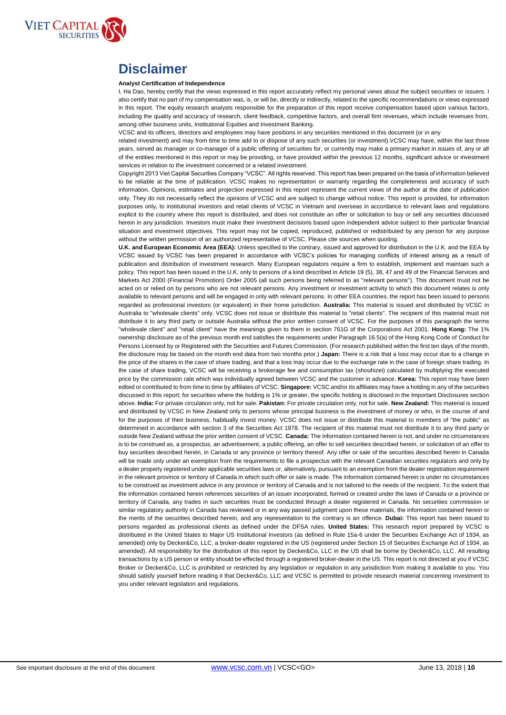

# **Disclaimer**<br>Analyst Certification of Independence

#### **Analyst Certification of Independence**

I, Ha Dao, hereby certify that the views expressed in this report accurately reflect my personal views about the subject securities or issuers. I also certify that no part of my compensation was, is, or will be, directly or indirectly, related to the specific recommendations or views expressed in this report. The equity research analysts responsible for the preparation of this report receive compensation based upon various factors. including the quality and accuracy of research, client feedback, competitive factors, and overall firm revenues, which include revenues from, among other business units, Institutional Equities and Investment Banking.

VCSC and its officers, directors and employees may have positions in any securities mentioned in this document (or in any

related investment) and may from time to time add to or dispose of any such securities (or investment).VCSC may have, within the last three years, served as manager or co-manager of a public offering of securities for, or currently may make a primary market in issues of, any or all of the entities mentioned in this report or may be providing, or have provided within the previous 12 months, significant advice or investment services in relation to the investment concerned or a related investment.

Copyright 2013 Viet Capital Securities Company "VCSC". All rights reserved. This report has been prepared on the basis of information believed to be reliable at the time of publication. VCSC makes no representation or warranty regarding the completeness and accuracy of such information. Opinions, estimates and projection expressed in this report represent the current views of the author at the date of publication only. They do not necessarily reflect the opinions of VCSC and are subject to change without notice. This report is provided, for information purposes only, to institutional investors and retail clients of VCSC in Vietnam and overseas in accordance to relevant laws and regulations explicit to the country where this report is distributed, and does not constitute an offer or solicitation to buy or sell any securities discussed herein in any jurisdiction. Investors must make their investment decisions based upon independent advice subject to their particular financial situation and investment objectives. This report may not be copied, reproduced, published or redistributed by any person for any purpose without the written permission of an authorized representative of VCSC. Please cite sources when quoting.

**U.K. and European Economic Area (EEA):** Unless specified to the contrary, issued and approved for distribution in the U.K. and the EEA by VCSC issued by VCSC has been prepared in accordance with VCSC's policies for managing conflicts of interest arising as a result of publication and distribution of investment research. Many European regulators require a firm to establish, implement and maintain such a policy. This report has been issued in the U.K. only to persons of a kind described in Article 19 (5), 38, 47 and 49 of the Financial Services and Markets Act 2000 (Financial Promotion) Order 2005 (all such persons being referred to as "relevant persons"). This document must not be acted on or relied on by persons who are not relevant persons. Any investment or investment activity to which this document relates is only available to relevant persons and will be engaged in only with relevant persons. In other EEA countries, the report has been issued to persons regarded as professional investors (or equivalent) in their home jurisdiction. **Australia:** This material is issued and distributed by VCSC in Australia to "wholesale clients" only. VCSC does not issue or distribute this material to "retail clients". The recipient of this material must not distribute it to any third party or outside Australia without the prior written consent of VCSC. For the purposes of this paragraph the terms "wholesale client" and "retail client" have the meanings given to them in section 761G of the Corporations Act 2001. **Hong Kong:** The 1% ownership disclosure as of the previous month end satisfies the requirements under Paragraph 16.5(a) of the Hong Kong Code of Conduct for Persons Licensed by or Registered with the Securities and Futures Commission. (For research published within the first ten days of the month, the disclosure may be based on the month end data from two months prior.) **Japan:** There is a risk that a loss may occur due to a change in the price of the shares in the case of share trading, and that a loss may occur due to the exchange rate in the case of foreign share trading. In the case of share trading, VCSC will be receiving a brokerage fee and consumption tax (shouhizei) calculated by multiplying the executed price by the commission rate which was individually agreed between VCSC and the customer in advance. **Korea:** This report may have been edited or contributed to from time to time by affiliates of VCSC. **Singapore:** VCSC and/or its affiliates may have a holding in any of the securities discussed in this report; for securities where the holding is 1% or greater, the specific holding is disclosed in the Important Disclosures section above. **India:** For private circulation only, not for sale. **Pakistan:** For private circulation only, not for sale. **New Zealand:** This material is issued and distributed by VCSC in New Zealand only to persons whose principal business is the investment of money or who, in the course of and for the purposes of their business, habitually invest money. VCSC does not issue or distribute this material to members of "the public" as determined in accordance with section 3 of the Securities Act 1978. The recipient of this material must not distribute it to any third party or outside New Zealand without the prior written consent of VCSC. **Canada:** The information contained herein is not, and under no circumstances is to be construed as, a prospectus, an advertisement, a public offering, an offer to sell securities described herein, or solicitation of an offer to buy securities described herein, in Canada or any province or territory thereof. Any offer or sale of the securities described herein in Canada will be made only under an exemption from the requirements to file a prospectus with the relevant Canadian securities regulators and only by a dealer properly registered under applicable securities laws or, alternatively, pursuant to an exemption from the dealer registration requirement in the relevant province or territory of Canada in which such offer or sale is made. The information contained herein is under no circumstances to be construed as investment advice in any province or territory of Canada and is not tailored to the needs of the recipient. To the extent that the information contained herein references securities of an issuer incorporated, formed or created under the laws of Canada or a province or territory of Canada, any trades in such securities must be conducted through a dealer registered in Canada. No securities commission or similar regulatory authority in Canada has reviewed or in any way passed judgment upon these materials, the information contained herein or the merits of the securities described herein, and any representation to the contrary is an offence. **Dubai:** This report has been issued to persons regarded as professional clients as defined under the DFSA rules. **United States:** This research report prepared by VCSC is distributed in the United States to Major US Institutional Investors (as defined in Rule 15a-6 under the Securities Exchange Act of 1934, as amended) only by Decker&Co, LLC, a broker-dealer registered in the US (registered under Section 15 of Securities Exchange Act of 1934, as amended). All responsibility for the distribution of this report by Decker&Co, LLC in the US shall be borne by Decker&Co, LLC. All resulting transactions by a US person or entity should be effected through a registered broker-dealer in the US. This report is not directed at you if VCSC Broker or Decker&Co, LLC is prohibited or restricted by any legislation or regulation in any jurisdiction from making it available to you. You should satisfy yourself before reading it that Decker&Co, LLC and VCSC is permitted to provide research material concerning investment to you under relevant legislation and regulations.